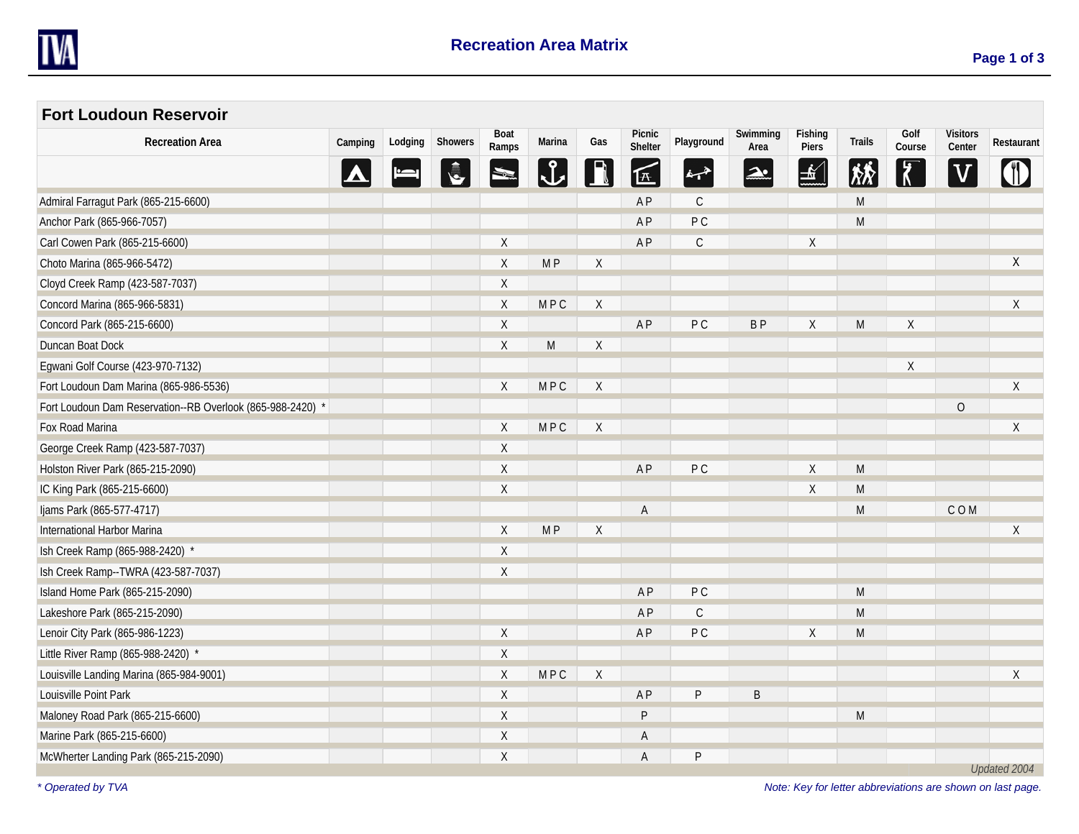

 $\sim$ 

| <b>Fort Loudoun Reservoir</b>                              |         |         |         |                      |                |             |                   |                |                  |                  |                                  |                |                           |              |
|------------------------------------------------------------|---------|---------|---------|----------------------|----------------|-------------|-------------------|----------------|------------------|------------------|----------------------------------|----------------|---------------------------|--------------|
| <b>Recreation Area</b>                                     | Camping | Lodging | Showers | <b>Boat</b><br>Ramps | Marina         | Gas         | Picnic<br>Shelter | Playground     | Swimming<br>Area | Fishing<br>Piers | Trails                           | Golf<br>Course | <b>Visitors</b><br>Center | Restaurant   |
|                                                            |         |         |         |                      | $\mathsf{L}$   |             | 匠                 | خهبغ           | ⊉.               | $\frac{1}{2}$    | $ \hat{\chi}^{\star}_{N}\rangle$ | $\sqrt{7}$     |                           |              |
| Admiral Farragut Park (865-215-6600)                       |         |         |         |                      |                |             | AP                | $\mathsf{C}$   |                  |                  | M                                |                |                           |              |
| Anchor Park (865-966-7057)                                 |         |         |         |                      |                |             | <b>AP</b>         | P <sub>C</sub> |                  |                  | M                                |                |                           |              |
| Carl Cowen Park (865-215-6600)                             |         |         |         | $\sf X$              |                |             | A <sub>P</sub>    | $\mathsf{C}$   |                  | $\sf X$          |                                  |                |                           |              |
| Choto Marina (865-966-5472)                                |         |         |         | Χ                    | M <sub>P</sub> | $\mathsf X$ |                   |                |                  |                  |                                  |                |                           | X            |
| Cloyd Creek Ramp (423-587-7037)                            |         |         |         | $\sf X$              |                |             |                   |                |                  |                  |                                  |                |                           |              |
| Concord Marina (865-966-5831)                              |         |         |         | Χ                    | MPC            | X           |                   |                |                  |                  |                                  |                |                           | X            |
| Concord Park (865-215-6600)                                |         |         |         | $\sf X$              |                |             | <b>AP</b>         | P <sub>C</sub> | <b>BP</b>        | χ                | M                                | $\sf X$        |                           |              |
| Duncan Boat Dock                                           |         |         |         | $\sf X$              | M              | X           |                   |                |                  |                  |                                  |                |                           |              |
| Egwani Golf Course (423-970-7132)                          |         |         |         |                      |                |             |                   |                |                  |                  |                                  | X              |                           |              |
| Fort Loudoun Dam Marina (865-986-5536)                     |         |         |         | $\sf X$              | <b>MPC</b>     | $\chi$      |                   |                |                  |                  |                                  |                |                           | $\sf X$      |
| Fort Loudoun Dam Reservation--RB Overlook (865-988-2420) * |         |         |         |                      |                |             |                   |                |                  |                  |                                  |                | $\mathbf 0$               |              |
| Fox Road Marina                                            |         |         |         | $\sf X$              | <b>MPC</b>     | $\sf X$     |                   |                |                  |                  |                                  |                |                           | X            |
| George Creek Ramp (423-587-7037)                           |         |         |         | Χ                    |                |             |                   |                |                  |                  |                                  |                |                           |              |
| Holston River Park (865-215-2090)                          |         |         |         | $\lambda$            |                |             | <b>AP</b>         | P <sub>C</sub> |                  | χ                | M                                |                |                           |              |
| IC King Park (865-215-6600)                                |         |         |         | $\sf X$              |                |             |                   |                |                  | X                | M                                |                |                           |              |
| Ijams Park (865-577-4717)                                  |         |         |         |                      |                |             | A                 |                |                  |                  | M                                |                | COM                       |              |
| International Harbor Marina                                |         |         |         | Χ                    | M <sub>P</sub> | X           |                   |                |                  |                  |                                  |                |                           | Χ            |
| Ish Creek Ramp (865-988-2420) *                            |         |         |         | $\sf X$              |                |             |                   |                |                  |                  |                                  |                |                           |              |
| Ish Creek Ramp--TWRA (423-587-7037)                        |         |         |         | $\sf X$              |                |             |                   |                |                  |                  |                                  |                |                           |              |
| Island Home Park (865-215-2090)                            |         |         |         |                      |                |             | AP                | PC             |                  |                  | M                                |                |                           |              |
| Lakeshore Park (865-215-2090)                              |         |         |         |                      |                |             | AP                | $\mathsf C$    |                  |                  | M                                |                |                           |              |
| Lenoir City Park (865-986-1223)                            |         |         |         | Χ                    |                |             | <b>AP</b>         | PC             |                  | X                | M                                |                |                           |              |
| Little River Ramp (865-988-2420) *                         |         |         |         | $\lambda$            |                |             |                   |                |                  |                  |                                  |                |                           |              |
| Louisville Landing Marina (865-984-9001)                   |         |         |         | Χ                    | <b>MPC</b>     | X           |                   |                |                  |                  |                                  |                |                           | X            |
| Louisville Point Park                                      |         |         |         | $\sf X$              |                |             | <b>AP</b>         | P              | $\sf B$          |                  |                                  |                |                           |              |
| Maloney Road Park (865-215-6600)                           |         |         |         | $\lambda$            |                |             | $\sf P$           |                |                  |                  | M                                |                |                           |              |
| Marine Park (865-215-6600)                                 |         |         |         | $\lambda$            |                |             | A                 |                |                  |                  |                                  |                |                           |              |
| McWherter Landing Park (865-215-2090)                      |         |         |         | X                    |                |             | Α                 | P              |                  |                  |                                  |                |                           | Updated 2004 |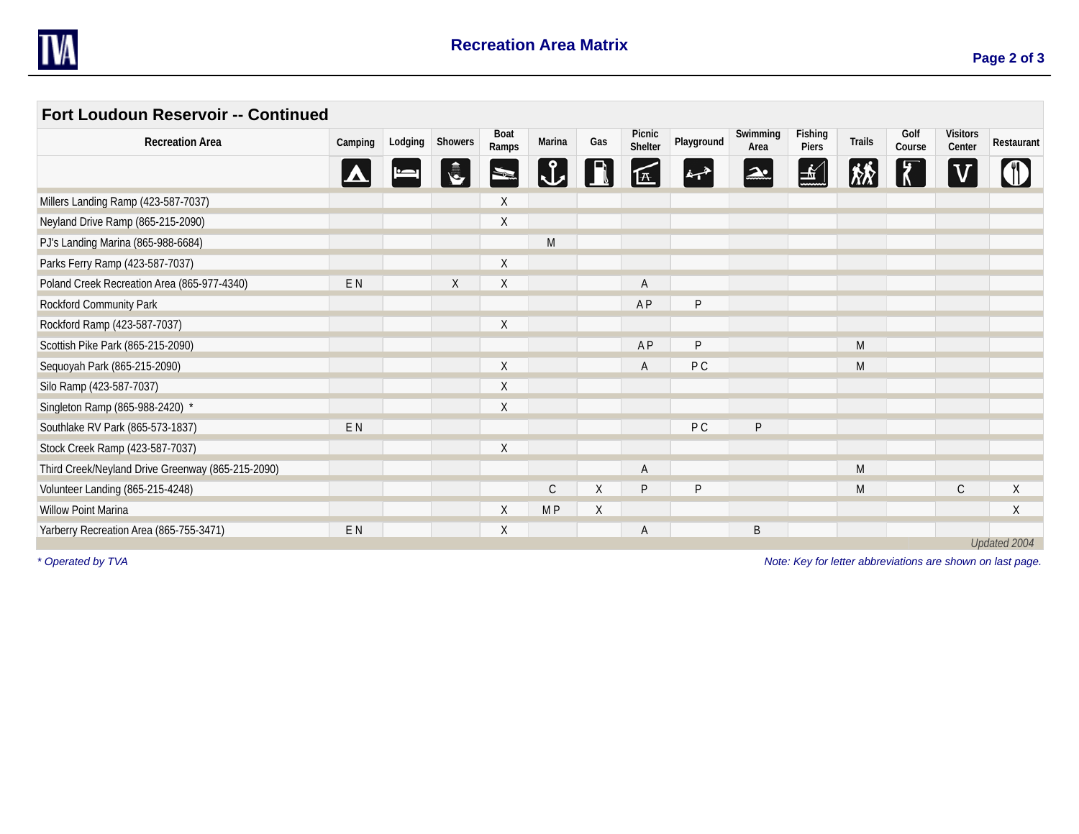

 $\sim$ 

| Fort Loudoun Reservoir -- Continued               |                |         |         |               |                |     |                   |                |                  |                  |                                                                                                            |                |                           |              |
|---------------------------------------------------|----------------|---------|---------|---------------|----------------|-----|-------------------|----------------|------------------|------------------|------------------------------------------------------------------------------------------------------------|----------------|---------------------------|--------------|
| <b>Recreation Area</b>                            | Camping        | Lodging | Showers | Boat<br>Ramps | Marina         | Gas | Picnic<br>Shelter | Playground     | Swimming<br>Area | Fishing<br>Piers | Trails                                                                                                     | Golf<br>Course | <b>Visitors</b><br>Center | Restaurant   |
|                                                   |                |         |         |               |                |     |                   |                |                  |                  |                                                                                                            |                |                           |              |
| Millers Landing Ramp (423-587-7037)               |                |         |         | $\chi$        |                |     |                   |                |                  |                  |                                                                                                            |                |                           |              |
| Neyland Drive Ramp (865-215-2090)                 |                |         |         | X             |                |     |                   |                |                  |                  |                                                                                                            |                |                           |              |
| PJ's Landing Marina (865-988-6684)                |                |         |         |               | ${\sf M}$      |     |                   |                |                  |                  |                                                                                                            |                |                           |              |
| Parks Ferry Ramp (423-587-7037)                   |                |         |         | X             |                |     |                   |                |                  |                  |                                                                                                            |                |                           |              |
| Poland Creek Recreation Area (865-977-4340)       | E N            |         | Χ       | X             |                |     | A                 |                |                  |                  |                                                                                                            |                |                           |              |
| Rockford Community Park                           |                |         |         |               |                |     | A <sub>P</sub>    | P              |                  |                  |                                                                                                            |                |                           |              |
| Rockford Ramp (423-587-7037)                      |                |         |         | X             |                |     |                   |                |                  |                  |                                                                                                            |                |                           |              |
| Scottish Pike Park (865-215-2090)                 |                |         |         |               |                |     | <b>AP</b>         | P              |                  |                  | M                                                                                                          |                |                           |              |
| Sequoyah Park (865-215-2090)                      |                |         |         | X             |                |     | A                 | P <sub>C</sub> |                  |                  | M                                                                                                          |                |                           |              |
| Silo Ramp (423-587-7037)                          |                |         |         | X             |                |     |                   |                |                  |                  |                                                                                                            |                |                           |              |
| Singleton Ramp (865-988-2420) *                   |                |         |         | X             |                |     |                   |                |                  |                  |                                                                                                            |                |                           |              |
| Southlake RV Park (865-573-1837)                  | E <sub>N</sub> |         |         |               |                |     |                   | P C            | P                |                  |                                                                                                            |                |                           |              |
| Stock Creek Ramp (423-587-7037)                   |                |         |         | X             |                |     |                   |                |                  |                  |                                                                                                            |                |                           |              |
| Third Creek/Neyland Drive Greenway (865-215-2090) |                |         |         |               |                |     |                   |                |                  |                  | M                                                                                                          |                |                           |              |
| Volunteer Landing (865-215-4248)                  |                |         |         |               | $\mathsf C$    | X   | P                 | P              |                  |                  | $\mathsf{M}% _{T}=\mathsf{M}_{T}\!\left( a,b\right) ,\ \mathsf{M}_{T}=\mathsf{M}_{T}\!\left( a,b\right) ,$ |                | $\mathsf{C}$              | $\sf X$      |
| <b>Willow Point Marina</b>                        |                |         |         | Χ             | M <sub>P</sub> | X   |                   |                |                  |                  |                                                                                                            |                |                           | X            |
| Yarberry Recreation Area (865-755-3471)           | E N            |         |         | X             |                |     |                   |                | B                |                  |                                                                                                            |                |                           |              |
|                                                   |                |         |         |               |                |     |                   |                |                  |                  |                                                                                                            |                |                           | Updated 2004 |

*\* Operated by TVA Note: Key for letter abbreviations are shown on last page.*